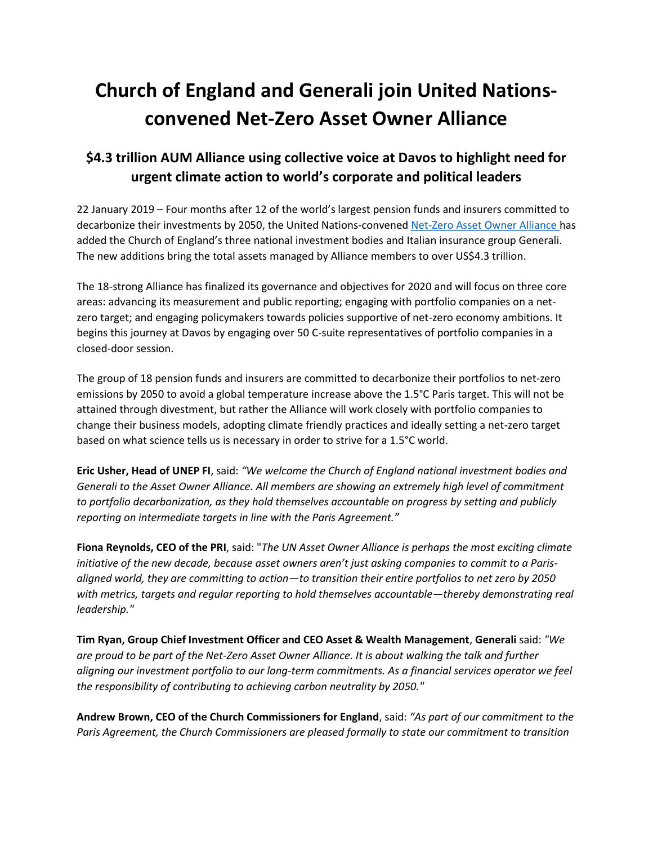# **Church of England and Generali join United Nationsconvened Net-Zero Asset Owner Alliance**

# **\$4.3 trillion AUM Alliance using collective voice at Davos to highlight need for urgent climate action to world's corporate and political leaders**

22 January 2019 – Four months after 12 of the world's largest pension funds and insurers committed to decarbonize their investments by 2050, the United Nations-convene[d Net-Zero Asset Owner Alliance](https://www.unepfi.org/net-zero-alliance/) has added the Church of England's three national investment bodies and Italian insurance group Generali. The new additions bring the total assets managed by Alliance members to over US\$4.3 trillion.

The 18-strong Alliance has finalized its governance and objectives for 2020 and will focus on three core areas: advancing its measurement and public reporting; engaging with portfolio companies on a netzero target; and engaging policymakers towards policies supportive of net-zero economy ambitions. It begins this journey at Davos by engaging over 50 C-suite representatives of portfolio companies in a closed-door session.

The group of 18 pension funds and insurers are committed to decarbonize their portfolios to net-zero emissions by 2050 to avoid a global temperature increase above the 1.5°C Paris target. This will not be attained through divestment, but rather the Alliance will work closely with portfolio companies to change their business models, adopting climate friendly practices and ideally setting a net-zero target based on what science tells us is necessary in order to strive for a 1.5°C world.

**Eric Usher, Head of UNEP FI**, said: *"We welcome the Church of England national investment bodies and Generali to the Asset Owner Alliance. All members are showing an extremely high level of commitment to portfolio decarbonization, as they hold themselves accountable on progress by setting and publicly reporting on intermediate targets in line with the Paris Agreement."* 

**Fiona Reynolds, CEO of the PRI**, said: "*The UN Asset Owner Alliance is perhaps the most exciting climate initiative of the new decade, because asset owners aren't just asking companies to commit to a Parisaligned world, they are committing to action—to transition their entire portfolios to net zero by 2050 with metrics, targets and regular reporting to hold themselves accountable—thereby demonstrating real leadership."*

**Tim Ryan, Group Chief Investment Officer and CEO Asset & Wealth Management**, **Generali** said: *"We are proud to be part of the Net-Zero Asset Owner Alliance. It is about walking the talk and further aligning our investment portfolio to our long-term commitments. As a financial services operator we feel the responsibility of contributing to achieving carbon neutrality by 2050."* 

**Andrew Brown, CEO of the Church Commissioners for England**, said: *"As part of our commitment to the Paris Agreement, the Church Commissioners are pleased formally to state our commitment to transition*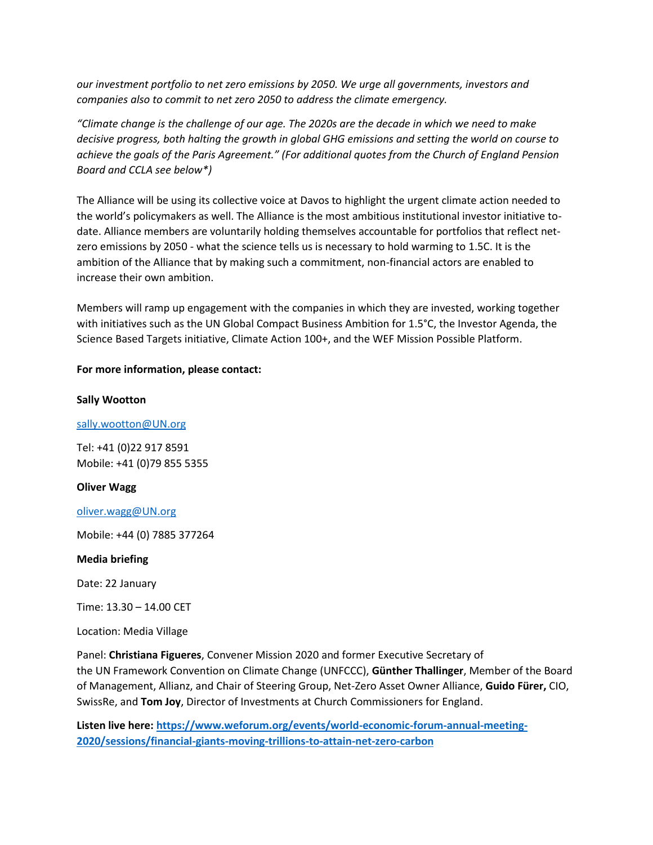*our investment portfolio to net zero emissions by 2050. We urge all governments, investors and companies also to commit to net zero 2050 to address the climate emergency.*

*"Climate change is the challenge of our age. The 2020s are the decade in which we need to make decisive progress, both halting the growth in global GHG emissions and setting the world on course to achieve the goals of the Paris Agreement." (For additional quotes from the Church of England Pension Board and CCLA see below\*)*

The Alliance will be using its collective voice at Davos to highlight the urgent climate action needed to the world's policymakers as well. The Alliance is the most ambitious institutional investor initiative todate. Alliance members are voluntarily holding themselves accountable for portfolios that reflect netzero emissions by 2050 - what the science tells us is necessary to hold warming to 1.5C. It is the ambition of the Alliance that by making such a commitment, non-financial actors are enabled to increase their own ambition.

Members will ramp up engagement with the companies in which they are invested, working together with initiatives such as the UN Global Compact Business Ambition for 1.5°C, the Investor Agenda, the Science Based Targets initiative, Climate Action 100+, and the WEF Mission Possible Platform.

# **For more information, please contact:**

# **Sally Wootton**

# [sally.wootton@UN.org](mailto:sally.wootton@UN.org)

Tel: +41 (0)22 917 8591 Mobile: +41 (0)79 855 5355

# **Oliver Wagg**

[oliver.wagg@UN.org](mailto:oliver.wagg@UN.org)

Mobile: +44 (0) 7885 377264

#### **Media briefing**

Date: 22 January

Time: 13.30 – 14.00 CET

Location: Media Village

Panel: **Christiana Figueres**, Convener Mission 2020 and former Executive Secretary of the UN Framework Convention on Climate Change (UNFCCC), **Günther Thallinger**, Member of the Board of Management, Allianz, and Chair of Steering Group, Net-Zero Asset Owner Alliance, **Guido Fürer,** CIO, SwissRe, and **Tom Joy**, Director of Investments at Church Commissioners for England.

**Listen live here[: https://www.weforum.org/events/world-economic-forum-annual-meeting-](https://www.weforum.org/events/world-economic-forum-annual-meeting-2020/sessions/financial-giants-moving-trillions-to-attain-net-zero-carbon)[2020/sessions/financial-giants-moving-trillions-to-attain-net-zero-carbon](https://www.weforum.org/events/world-economic-forum-annual-meeting-2020/sessions/financial-giants-moving-trillions-to-attain-net-zero-carbon)**